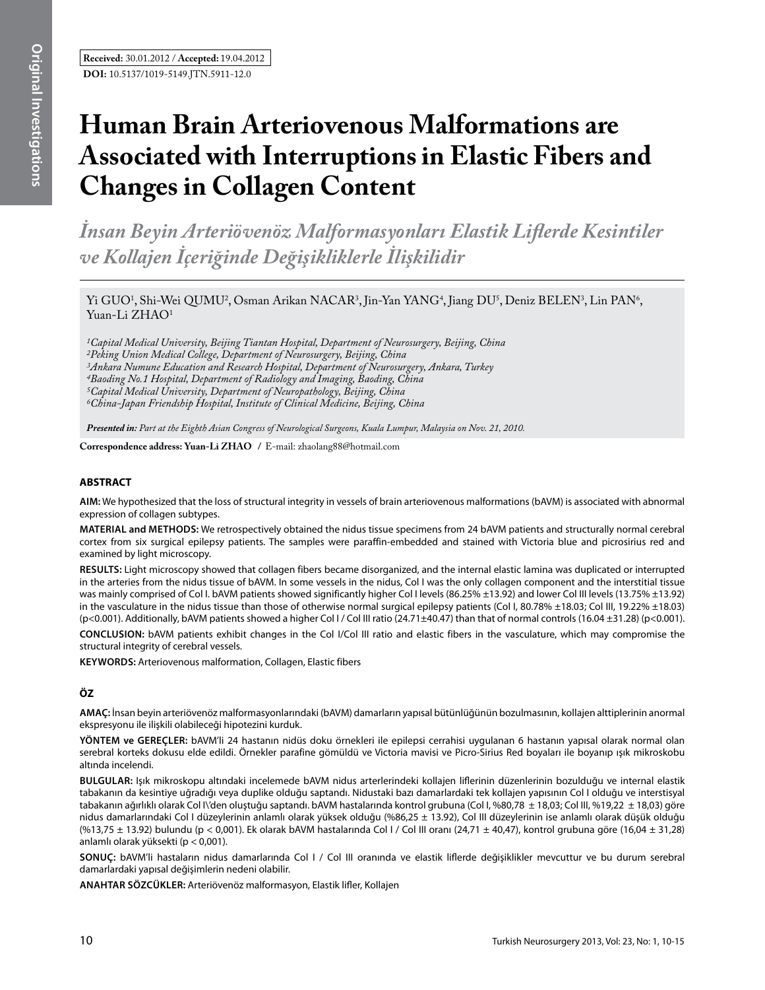# **Human Brain Arteriovenous Malformations are Associated with Interruptions in Elastic Fibers and Changes in Collagen Content**

*İnsan Beyin Arteriövenöz Malformasyonları Elastik Liflerde Kesintiler ve Kollajen İçeriğinde Değişikliklerle İlişkilidir* 

Yi GUO<sup>1</sup>, Shi-Wei QUMU<sup>2</sup>, Osman Arikan NACAR<sup>3</sup>, Jin-Yan YANG<sup>4</sup>, Jiang DU<sup>5</sup>, Deniz BELEN<sup>3</sup>, Lin PAN<sup>6</sup>, Yuan-Li ZHAO<sup>1</sup>

*1Capital Medical University, Beijing Tiantan Hospital, Department of Neurosurgery, Beijing, China 2Peking Union Medical College, Department of Neurosurgery, Beijing, China 3Ankara Numune Education and Research Hospital, Department of Neurosurgery, Ankara, Turkey 4Baoding No.1 Hospital, Department of Radiology and Imaging, Baoding, China 5Capital Medical University, Department of Neuropathology, Beijing, China 6China-Japan Friendship Hospital, Institute of Clinical Medicine, Beijing, China*

*Presented in: Part at the Eighth Asian Congress of Neurological Surgeons, Kuala Lumpur, Malaysia on Nov. 21, 2010.*

**Correspondence address: Yuan-Li Zhao /** E-mail: zhaolang88@hotmail.com

# **ABSTRACT**

**AIm:** We hypothesized that the loss of structural integrity in vessels of brain arteriovenous malformations (bAVM) is associated with abnormal expression of collagen subtypes.

**MaterIal and Methods:** We retrospectively obtained the nidus tissue specimens from 24 bAVM patients and structurally normal cerebral cortex from six surgical epilepsy patients. The samples were paraffin-embedded and stained with Victoria blue and picrosirius red and examined by light microscopy.

**Results:** Light microscopy showed that collagen fibers became disorganized, and the internal elastic lamina was duplicated or interrupted in the arteries from the nidus tissue of bAVM. In some vessels in the nidus, Col I was the only collagen component and the interstitial tissue was mainly comprised of Col I. bAVM patients showed significantly higher Col I levels (86.25% ±13.92) and lower Col III levels (13.75% ±13.92) in the vasculature in the nidus tissue than those of otherwise normal surgical epilepsy patients (Col I, 80.78% ±18.03; Col III, 19.22% ±18.03) (p<0.001). Additionally, bAVM patients showed a higher Col I / Col III ratio (24.71±40.47) than that of normal controls (16.04 ±31.28) (p<0.001).

**ConclusIon:** bAVM patients exhibit changes in the Col I/Col III ratio and elastic fibers in the vasculature, which may compromise the structural integrity of cerebral vessels.

**Keywords:** Arteriovenous malformation, Collagen, Elastic fibers

# **ÖZ**

**AMAÇ:** İnsan beyin arteriövenöz malformasyonlarındaki (bAVM) damarların yapısal bütünlüğünün bozulmasının, kollajen alttiplerinin anormal ekspresyonu ile ilişkili olabileceği hipotezini kurduk.

**YÖNTEM ve GEREÇLER:** bAVM'li 24 hastanın nidüs doku örnekleri ile epilepsi cerrahisi uygulanan 6 hastanın yapısal olarak normal olan serebral korteks dokusu elde edildi. Örnekler parafine gömüldü ve Victoria mavisi ve Picro-Sirius Red boyaları ile boyanıp ışık mikroskobu altında incelendi.

**BULGULAR:** Işık mikroskopu altındaki incelemede bAVM nidus arterlerindeki kollajen liflerinin düzenlerinin bozulduğu ve internal elastik tabakanın da kesintiye uğradığı veya duplike olduğu saptandı. Nidustaki bazı damarlardaki tek kollajen yapısının Col I olduğu ve interstisyal tabakanın ağırlıklı olarak Col I\'den oluştuğu saptandı. bAVM hastalarında kontrol grubuna (Col I, %80,78 ± 18,03; Col III, %19,22 ± 18,03) göre nidus damarlarındaki Col I düzeylerinin anlamlı olarak yüksek olduğu (%86,25 ± 13.92), Col III düzeylerinin ise anlamlı olarak düşük olduğu (%13,75 ± 13.92) bulundu (p < 0,001). Ek olarak bAVM hastalarında Col I / Col III oranı (24,71 ± 40,47), kontrol grubuna göre (16,04 ± 31,28) anlamlı olarak yüksekti (p < 0,001).

**SONUÇ:** bAVM'li hastaların nidus damarlarında Col I / Col III oranında ve elastik liflerde değişiklikler mevcuttur ve bu durum serebral damarlardaki yapısal değişimlerin nedeni olabilir.

**ANAHTAR SÖZCÜKLER:** Arteriövenöz malformasyon, Elastik lifler, Kollajen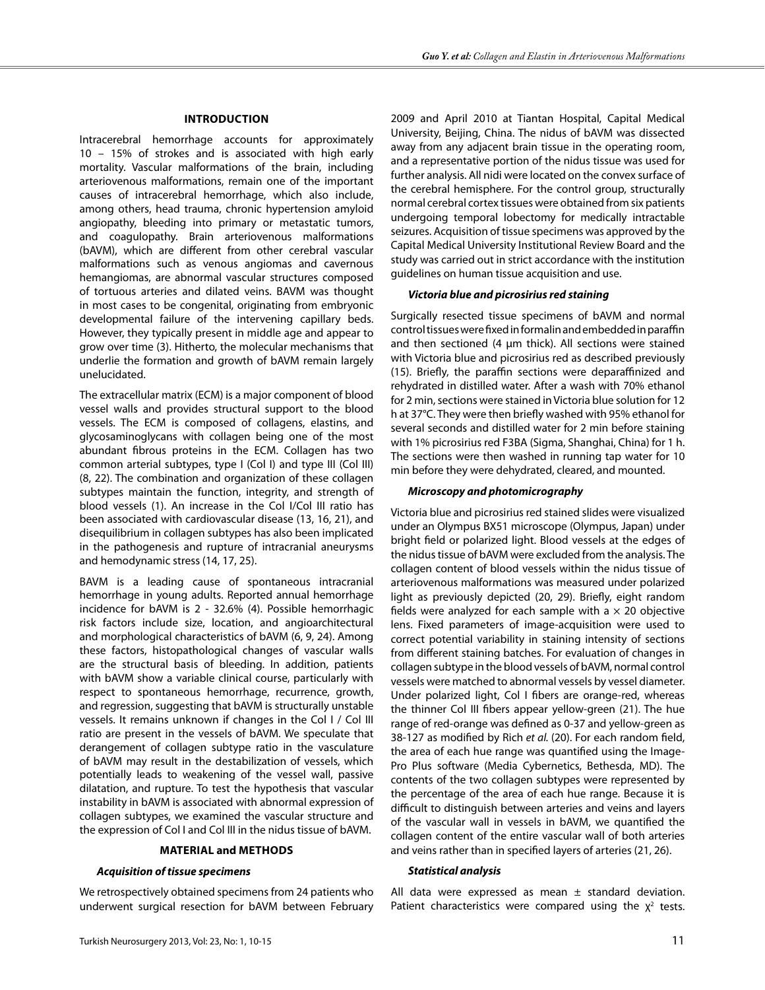#### **Introduction**

Intracerebral hemorrhage accounts for approximately 10 – 15% of strokes and is associated with high early mortality. Vascular malformations of the brain, including arteriovenous malformations, remain one of the important causes of intracerebral hemorrhage, which also include, among others, head trauma, chronic hypertension amyloid angiopathy, bleeding into primary or metastatic tumors, and coagulopathy. Brain arteriovenous malformations (bAVM), which are different from other cerebral vascular malformations such as venous angiomas and cavernous hemangiomas, are abnormal vascular structures composed of tortuous arteries and dilated veins. BAVM was thought in most cases to be congenital, originating from embryonic developmental failure of the intervening capillary beds. However, they typically present in middle age and appear to grow over time (3). Hitherto, the molecular mechanisms that underlie the formation and growth of bAVM remain largely unelucidated.

The extracellular matrix (ECM) is a major component of blood vessel walls and provides structural support to the blood vessels. The ECM is composed of collagens, elastins, and glycosaminoglycans with collagen being one of the most abundant fibrous proteins in the ECM. Collagen has two common arterial subtypes, type I (Col I) and type III (Col III) (8, 22). The combination and organization of these collagen subtypes maintain the function, integrity, and strength of blood vessels (1). An increase in the Col I/Col III ratio has been associated with cardiovascular disease (13, 16, 21), and disequilibrium in collagen subtypes has also been implicated in the pathogenesis and rupture of intracranial aneurysms and hemodynamic stress (14, 17, 25).

BAVM is a leading cause of spontaneous intracranial hemorrhage in young adults. Reported annual hemorrhage incidence for bAVM is 2 - 32.6% (4). Possible hemorrhagic risk factors include size, location, and angioarchitectural and morphological characteristics of bAVM (6, 9, 24). Among these factors, histopathological changes of vascular walls are the structural basis of bleeding. In addition, patients with bAVM show a variable clinical course, particularly with respect to spontaneous hemorrhage, recurrence, growth, and regression, suggesting that bAVM is structurally unstable vessels. It remains unknown if changes in the Col I / Col III ratio are present in the vessels of bAVM. We speculate that derangement of collagen subtype ratio in the vasculature of bAVM may result in the destabilization of vessels, which potentially leads to weakening of the vessel wall, passive dilatation, and rupture. To test the hypothesis that vascular instability in bAVM is associated with abnormal expression of collagen subtypes, we examined the vascular structure and the expression of Col I and Col III in the nidus tissue of bAVM.

## **Material and Methods**

#### *Acquisition of tissue specimens*

We retrospectively obtained specimens from 24 patients who underwent surgical resection for bAVM between February

2009 and April 2010 at Tiantan Hospital, Capital Medical University, Beijing, China. The nidus of bAVM was dissected away from any adjacent brain tissue in the operating room, and a representative portion of the nidus tissue was used for further analysis. All nidi were located on the convex surface of the cerebral hemisphere. For the control group, structurally normal cerebral cortex tissues were obtained from six patients undergoing temporal lobectomy for medically intractable seizures. Acquisition of tissue specimens was approved by the Capital Medical University Institutional Review Board and the study was carried out in strict accordance with the institution guidelines on human tissue acquisition and use.

#### *Victoria blue and picrosirius red staining*

Surgically resected tissue specimens of bAVM and normal control tissues were fixed in formalin and embedded in paraffin and then sectioned (4  $\mu$ m thick). All sections were stained with Victoria blue and picrosirius red as described previously (15). Briefly, the paraffin sections were deparaffinized and rehydrated in distilled water. After a wash with 70% ethanol for 2 min, sections were stained in Victoria blue solution for 12 h at 37°C. They were then briefly washed with 95% ethanol for several seconds and distilled water for 2 min before staining with 1% picrosirius red F3BA (Sigma, Shanghai, China) for 1 h. The sections were then washed in running tap water for 10 min before they were dehydrated, cleared, and mounted.

## *Microscopy and photomicrography*

Victoria blue and picrosirius red stained slides were visualized under an Olympus BX51 microscope (Olympus, Japan) under bright field or polarized light. Blood vessels at the edges of the nidus tissue of bAVM were excluded from the analysis. The collagen content of blood vessels within the nidus tissue of arteriovenous malformations was measured under polarized light as previously depicted (20, 29). Briefly, eight random fields were analyzed for each sample with a  $\times$  20 objective lens. Fixed parameters of image-acquisition were used to correct potential variability in staining intensity of sections from different staining batches. For evaluation of changes in collagen subtype in the blood vessels of bAVM, normal control vessels were matched to abnormal vessels by vessel diameter. Under polarized light, Col I fibers are orange-red, whereas the thinner Col III fibers appear yellow-green (21). The hue range of red-orange was defined as 0-37 and yellow-green as 38-127 as modified by Rich *et al.* (20). For each random field, the area of each hue range was quantified using the Image-Pro Plus software (Media Cybernetics, Bethesda, MD). The contents of the two collagen subtypes were represented by the percentage of the area of each hue range. Because it is difficult to distinguish between arteries and veins and layers of the vascular wall in vessels in bAVM, we quantified the collagen content of the entire vascular wall of both arteries and veins rather than in specified layers of arteries (21, 26).

#### *Statistical analysis*

All data were expressed as mean  $\pm$  standard deviation. Patient characteristics were compared using the  $\chi^2$  tests.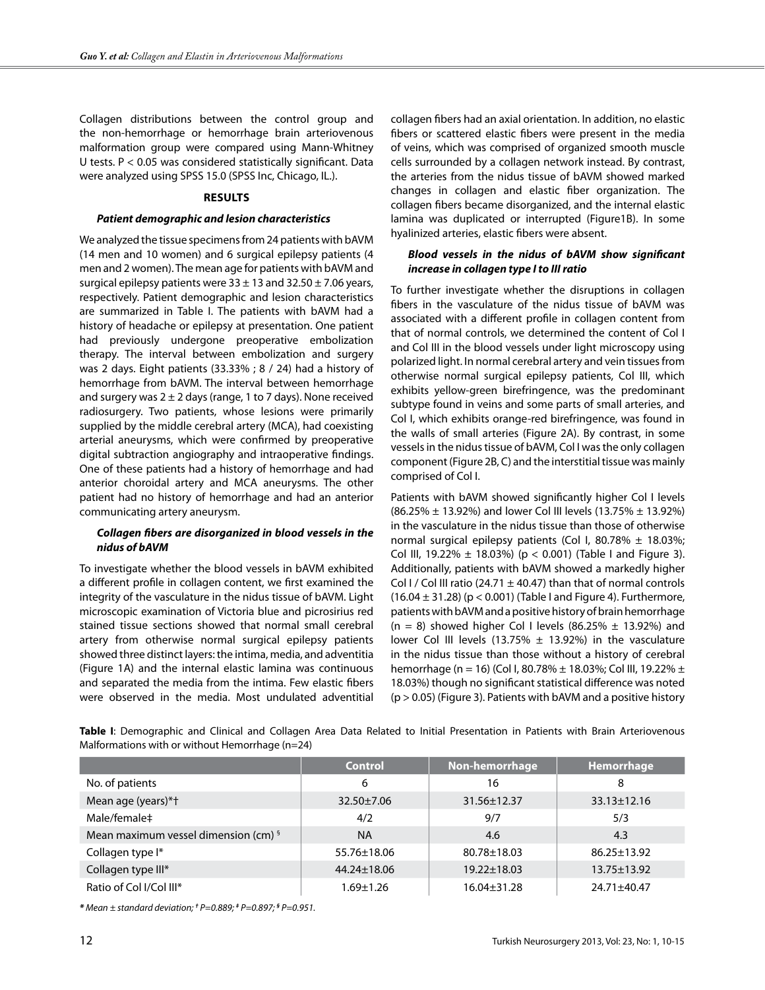Collagen distributions between the control group and the non-hemorrhage or hemorrhage brain arteriovenous malformation group were compared using Mann-Whitney U tests. P < 0.05 was considered statistically significant. Data were analyzed using SPSS 15.0 (SPSS Inc, Chicago, IL.).

## **Results**

## *Patient demographic and lesion characteristics*

We analyzed the tissue specimens from 24 patients with bAVM (14 men and 10 women) and 6 surgical epilepsy patients (4 men and 2 women). The mean age for patients with bAVM and surgical epilepsy patients were  $33 \pm 13$  and  $32.50 \pm 7.06$  years, respectively. Patient demographic and lesion characteristics are summarized in Table I. The patients with bAVM had a history of headache or epilepsy at presentation. One patient had previously undergone preoperative embolization therapy. The interval between embolization and surgery was 2 days. Eight patients (33.33% ; 8 / 24) had a history of hemorrhage from bAVM. The interval between hemorrhage and surgery was  $2 \pm 2$  days (range, 1 to 7 days). None received radiosurgery. Two patients, whose lesions were primarily supplied by the middle cerebral artery (MCA), had coexisting arterial aneurysms, which were confirmed by preoperative digital subtraction angiography and intraoperative findings. One of these patients had a history of hemorrhage and had anterior choroidal artery and MCA aneurysms. The other patient had no history of hemorrhage and had an anterior communicating artery aneurysm.

# *Collagen fibers are disorganized in blood vessels in the nidus of bAVM*

To investigate whether the blood vessels in bAVM exhibited a different profile in collagen content, we first examined the integrity of the vasculature in the nidus tissue of bAVM. Light microscopic examination of Victoria blue and picrosirius red stained tissue sections showed that normal small cerebral artery from otherwise normal surgical epilepsy patients showed three distinct layers: the intima, media, and adventitia (Figure 1A) and the internal elastic lamina was continuous and separated the media from the intima. Few elastic fibers were observed in the media. Most undulated adventitial collagen fibers had an axial orientation. In addition, no elastic fibers or scattered elastic fibers were present in the media of veins, which was comprised of organized smooth muscle cells surrounded by a collagen network instead. By contrast, the arteries from the nidus tissue of bAVM showed marked changes in collagen and elastic fiber organization. The collagen fibers became disorganized, and the internal elastic lamina was duplicated or interrupted (Figure1B). In some hyalinized arteries, elastic fibers were absent.

# *Blood vessels in the nidus of bAVM show significant increase in collagen type I to III ratio*

To further investigate whether the disruptions in collagen fibers in the vasculature of the nidus tissue of bAVM was associated with a different profile in collagen content from that of normal controls, we determined the content of Col I and Col III in the blood vessels under light microscopy using polarized light. In normal cerebral artery and vein tissues from otherwise normal surgical epilepsy patients, Col III, which exhibits yellow-green birefringence, was the predominant subtype found in veins and some parts of small arteries, and Col I, which exhibits orange-red birefringence, was found in the walls of small arteries (Figure 2A). By contrast, in some vessels in the nidus tissue of bAVM, Col I was the only collagen component (Figure 2B, C) and the interstitial tissue was mainly comprised of Col I.

Patients with bAVM showed significantly higher Col I levels (86.25% ± 13.92%) and lower Col III levels (13.75% ± 13.92%) in the vasculature in the nidus tissue than those of otherwise normal surgical epilepsy patients (Col I, 80.78%  $\pm$  18.03%; Col III, 19.22%  $\pm$  18.03%) (p < 0.001) (Table I and Figure 3). Additionally, patients with bAVM showed a markedly higher Col I / Col III ratio (24.71  $\pm$  40.47) than that of normal controls  $(16.04 \pm 31.28)$  (p < 0.001) (Table I and Figure 4). Furthermore, patients with bAVM and a positive history of brain hemorrhage  $(n = 8)$  showed higher Col I levels  $(86.25\% \pm 13.92\%)$  and lower Col III levels (13.75%  $\pm$  13.92%) in the vasculature in the nidus tissue than those without a history of cerebral hemorrhage (n = 16) (Col I, 80.78% ± 18.03%; Col III, 19.22% ± 18.03%) though no significant statistical difference was noted  $(p > 0.05)$  (Figure 3). Patients with bAVM and a positive history

**Table I**: Demographic and Clinical and Collagen Area Data Related to Initial Presentation in Patients with Brain Arteriovenous Malformations with or without Hemorrhage (n=24)

|                                                 | <b>Control</b>    | Non-hemorrhage    | Hemorrhage        |
|-------------------------------------------------|-------------------|-------------------|-------------------|
| No. of patients                                 | 6                 | 16                | 8                 |
| Mean age (years)*+                              | $32.50 \pm 7.06$  | $31.56 \pm 12.37$ | $33.13 \pm 12.16$ |
| Male/female‡                                    | 4/2               | 9/7               | 5/3               |
| Mean maximum vessel dimension (cm) <sup>§</sup> | <b>NA</b>         | 4.6               | 4.3               |
| Collagen type I*                                | $55.76 \pm 18.06$ | $80.78 \pm 18.03$ | $86.25 \pm 13.92$ |
| Collagen type III*                              | $44.24 \pm 18.06$ | $19.22 \pm 18.03$ | $13.75 \pm 13.92$ |
| Ratio of Col I/Col III*                         | $1.69 \pm 1.26$   | 16.04±31.28       | 24.71±40.47       |

*\* Mean ± standard deviation; † P=0.889; ‡ P=0.897; § P=0.951.*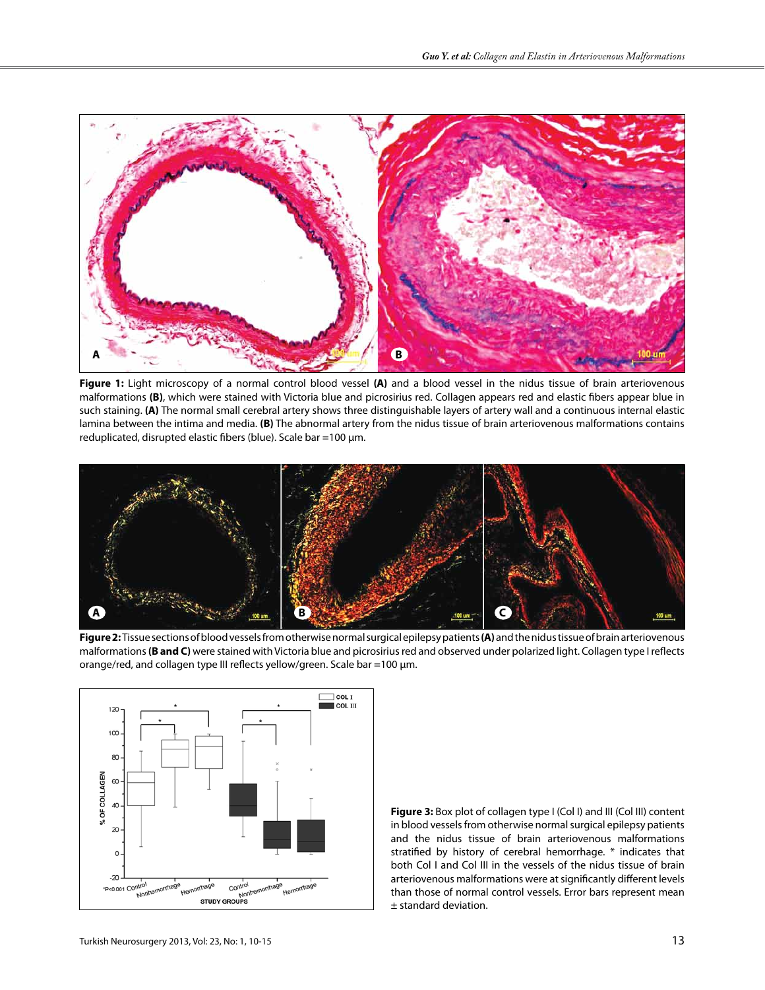

**Figure 1:** Light microscopy of a normal control blood vessel **(A)** and a blood vessel in the nidus tissue of brain arteriovenous malformations **(B)**, which were stained with Victoria blue and picrosirius red. Collagen appears red and elastic fibers appear blue in such staining. **(A)** The normal small cerebral artery shows three distinguishable layers of artery wall and a continuous internal elastic lamina between the intima and media. **(B)** The abnormal artery from the nidus tissue of brain arteriovenous malformations contains reduplicated, disrupted elastic fibers (blue). Scale bar =100 µm.



**Figure 2:** Tissue sections of blood vessels from otherwise normal surgical epilepsy patients **(A)** and the nidus tissue of brain arteriovenous malformations **(B and C)** were stained with Victoria blue and picrosirius red and observed under polarized light. Collagen type I reflects orange/red, and collagen type III reflects yellow/green. Scale bar =100 µm.



**Figure 3:** Box plot of collagen type I (Col I) and III (Col III) content in blood vessels from otherwise normal surgical epilepsy patients and the nidus tissue of brain arteriovenous malformations stratified by history of cerebral hemorrhage. \* indicates that both Col I and Col III in the vessels of the nidus tissue of brain arteriovenous malformations were at significantly different levels than those of normal control vessels. Error bars represent mean ± standard deviation.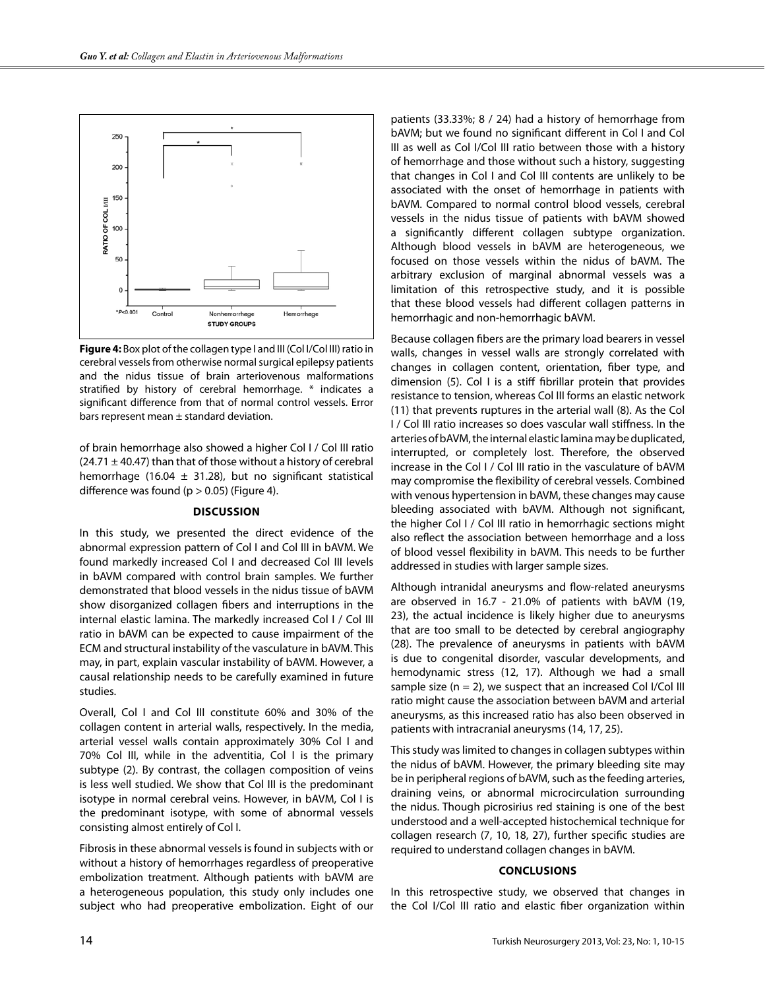

**Figure 4:** Box plot of the collagen type I and III (Col I/Col III) ratio in cerebral vessels from otherwise normal surgical epilepsy patients and the nidus tissue of brain arteriovenous malformations stratified by history of cerebral hemorrhage. \* indicates a significant difference from that of normal control vessels. Error bars represent mean  $\pm$  standard deviation.

of brain hemorrhage also showed a higher Col I / Col III ratio  $(24.71 \pm 40.47)$  than that of those without a history of cerebral hemorrhage (16.04  $\pm$  31.28), but no significant statistical difference was found ( $p > 0.05$ ) (Figure 4).

# **Discussion**

In this study, we presented the direct evidence of the abnormal expression pattern of Col I and Col III in bAVM. We found markedly increased Col I and decreased Col III levels in bAVM compared with control brain samples. We further demonstrated that blood vessels in the nidus tissue of bAVM show disorganized collagen fibers and interruptions in the internal elastic lamina. The markedly increased Col I / Col III ratio in bAVM can be expected to cause impairment of the ECM and structural instability of the vasculature in bAVM. This may, in part, explain vascular instability of bAVM. However, a causal relationship needs to be carefully examined in future studies.

Overall, Col I and Col III constitute 60% and 30% of the collagen content in arterial walls, respectively. In the media, arterial vessel walls contain approximately 30% Col I and 70% Col III, while in the adventitia, Col I is the primary subtype (2). By contrast, the collagen composition of veins is less well studied. We show that Col III is the predominant isotype in normal cerebral veins. However, in bAVM, Col I is the predominant isotype, with some of abnormal vessels consisting almost entirely of Col I.

Fibrosis in these abnormal vessels is found in subjects with or without a history of hemorrhages regardless of preoperative embolization treatment. Although patients with bAVM are a heterogeneous population, this study only includes one subject who had preoperative embolization. Eight of our

patients (33.33%; 8 / 24) had a history of hemorrhage from bAVM; but we found no significant different in Col I and Col III as well as Col I/Col III ratio between those with a history of hemorrhage and those without such a history, suggesting that changes in Col I and Col III contents are unlikely to be associated with the onset of hemorrhage in patients with bAVM. Compared to normal control blood vessels, cerebral vessels in the nidus tissue of patients with bAVM showed a significantly different collagen subtype organization. Although blood vessels in bAVM are heterogeneous, we focused on those vessels within the nidus of bAVM. The arbitrary exclusion of marginal abnormal vessels was a limitation of this retrospective study, and it is possible that these blood vessels had different collagen patterns in hemorrhagic and non-hemorrhagic bAVM.

Because collagen fibers are the primary load bearers in vessel walls, changes in vessel walls are strongly correlated with changes in collagen content, orientation, fiber type, and dimension (5). Col I is a stiff fibrillar protein that provides resistance to tension, whereas Col III forms an elastic network (11) that prevents ruptures in the arterial wall (8). As the Col I / Col III ratio increases so does vascular wall stiffness. In the arteries of bAVM, the internal elastic lamina may be duplicated, interrupted, or completely lost. Therefore, the observed increase in the Col I / Col III ratio in the vasculature of bAVM may compromise the flexibility of cerebral vessels. Combined with venous hypertension in bAVM, these changes may cause bleeding associated with bAVM. Although not significant, the higher Col I / Col III ratio in hemorrhagic sections might also reflect the association between hemorrhage and a loss of blood vessel flexibility in bAVM. This needs to be further addressed in studies with larger sample sizes.

Although intranidal aneurysms and flow-related aneurysms are observed in 16.7 - 21.0% of patients with bAVM (19, 23), the actual incidence is likely higher due to aneurysms that are too small to be detected by cerebral angiography (28). The prevalence of aneurysms in patients with bAVM is due to congenital disorder, vascular developments, and hemodynamic stress (12, 17). Although we had a small sample size  $(n = 2)$ , we suspect that an increased Col I/Col III ratio might cause the association between bAVM and arterial aneurysms, as this increased ratio has also been observed in patients with intracranial aneurysms (14, 17, 25).

This study was limited to changes in collagen subtypes within the nidus of bAVM. However, the primary bleeding site may be in peripheral regions of bAVM, such as the feeding arteries, draining veins, or abnormal microcirculation surrounding the nidus. Though picrosirius red staining is one of the best understood and a well-accepted histochemical technique for collagen research (7, 10, 18, 27), further specific studies are required to understand collagen changes in bAVM.

#### **Conclusions**

In this retrospective study, we observed that changes in the Col I/Col III ratio and elastic fiber organization within